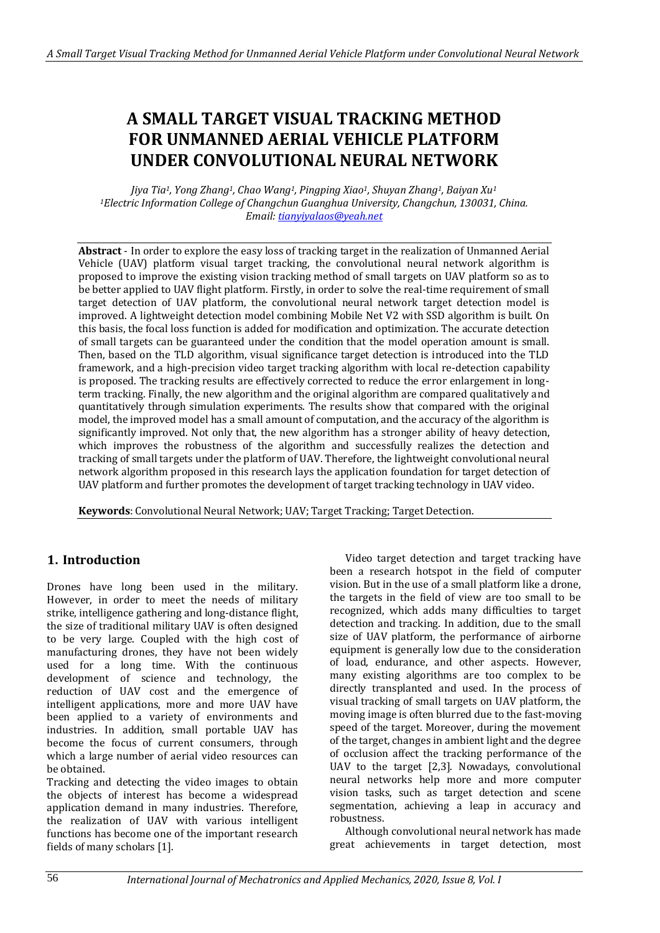# **A SMALL TARGET VISUAL TRACKING METHOD FOR UNMANNED AERIAL VEHICLE PLATFORM UNDER CONVOLUTIONAL NEURAL NETWORK**

*Jiya Tia1, Yong Zhang1, Chao Wang1, Pingping Xiao1, Shuyan Zhang1, Baiyan Xu<sup>1</sup> <sup>1</sup>Electric Information College of Changchun Guanghua University, Changchun, 130031, China. Email[: tianyiyalaos@yeah.net](mailto:tianyiyalaos@yeah.net)*

**Abstract** - In order to explore the easy loss of tracking target in the realization of Unmanned Aerial Vehicle (UAV) platform visual target tracking, the convolutional neural network algorithm is proposed to improve the existing vision tracking method of small targets on UAV platform so as to be better applied to UAV flight platform. Firstly, in order to solve the real-time requirement of small target detection of UAV platform, the convolutional neural network target detection model is improved. A lightweight detection model combining Mobile Net V2 with SSD algorithm is built. On this basis, the focal loss function is added for modification and optimization. The accurate detection of small targets can be guaranteed under the condition that the model operation amount is small. Then, based on the TLD algorithm, visual significance target detection is introduced into the TLD framework, and a high-precision video target tracking algorithm with local re-detection capability is proposed. The tracking results are effectively corrected to reduce the error enlargement in longterm tracking. Finally, the new algorithm and the original algorithm are compared qualitatively and quantitatively through simulation experiments. The results show that compared with the original model, the improved model has a small amount of computation, and the accuracy of the algorithm is significantly improved. Not only that, the new algorithm has a stronger ability of heavy detection, which improves the robustness of the algorithm and successfully realizes the detection and tracking of small targets under the platform of UAV. Therefore, the lightweight convolutional neural network algorithm proposed in this research lays the application foundation for target detection of UAV platform and further promotes the development of target tracking technology in UAV video.

**Keywords**: Convolutional Neural Network; UAV; Target Tracking; Target Detection.

## **1. Introduction**

Drones have long been used in the military. However, in order to meet the needs of military strike, intelligence gathering and long-distance flight, the size of traditional military UAV is often designed to be very large. Coupled with the high cost of manufacturing drones, they have not been widely used for a long time. With the continuous development of science and technology, the reduction of UAV cost and the emergence of intelligent applications, more and more UAV have been applied to a variety of environments and industries. In addition, small portable UAV has become the focus of current consumers, through which a large number of aerial video resources can be obtained.

Tracking and detecting the video images to obtain the objects of interest has become a widespread application demand in many industries. Therefore, the realization of UAV with various intelligent functions has become one of the important research fields of many scholars [1].

Video target detection and target tracking have been a research hotspot in the field of computer vision. But in the use of a small platform like a drone, the targets in the field of view are too small to be recognized, which adds many difficulties to target detection and tracking. In addition, due to the small size of UAV platform, the performance of airborne equipment is generally low due to the consideration of load, endurance, and other aspects. However, many existing algorithms are too complex to be directly transplanted and used. In the process of visual tracking of small targets on UAV platform, the moving image is often blurred due to the fast-moving speed of the target. Moreover, during the movement of the target, changes in ambient light and the degree of occlusion affect the tracking performance of the UAV to the target [2,3]. Nowadays, convolutional neural networks help more and more computer vision tasks, such as target detection and scene segmentation, achieving a leap in accuracy and robustness.

Although convolutional neural network has made great achievements in target detection, most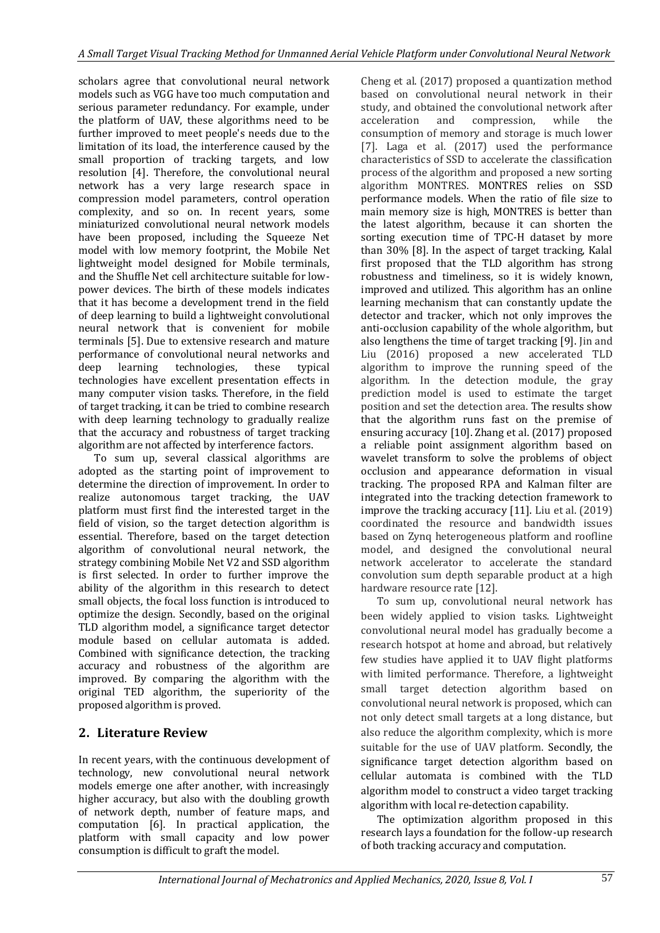scholars agree that convolutional neural network models such as VGG have too much computation and serious parameter redundancy. For example, under the platform of UAV, these algorithms need to be further improved to meet people's needs due to the limitation of its load, the interference caused by the small proportion of tracking targets, and low resolution [4]. Therefore, the convolutional neural network has a very large research space in compression model parameters, control operation complexity, and so on. In recent years, some miniaturized convolutional neural network models have been proposed, including the Squeeze Net model with low memory footprint, the Mobile Net lightweight model designed for Mobile terminals, and the Shuffle Net cell architecture suitable for lowpower devices. The birth of these models indicates that it has become a development trend in the field of deep learning to build a lightweight convolutional neural network that is convenient for mobile terminals [5]. Due to extensive research and mature performance of convolutional neural networks and deep learning technologies, these typical technologies have excellent presentation effects in many computer vision tasks. Therefore, in the field of target tracking, it can be tried to combine research with deep learning technology to gradually realize that the accuracy and robustness of target tracking algorithm are not affected by interference factors.

To sum up, several classical algorithms are adopted as the starting point of improvement to determine the direction of improvement. In order to realize autonomous target tracking, the UAV platform must first find the interested target in the field of vision, so the target detection algorithm is essential. Therefore, based on the target detection algorithm of convolutional neural network, the strategy combining Mobile Net V2 and SSD algorithm is first selected. In order to further improve the ability of the algorithm in this research to detect small objects, the focal loss function is introduced to optimize the design. Secondly, based on the original TLD algorithm model, a significance target detector module based on cellular automata is added. Combined with significance detection, the tracking accuracy and robustness of the algorithm are improved. By comparing the algorithm with the original TED algorithm, the superiority of the proposed algorithm is proved.

## **2. Literature Review**

In recent years, with the continuous development of technology, new convolutional neural network models emerge one after another, with increasingly higher accuracy, but also with the doubling growth of network depth, number of feature maps, and computation [6]. In practical application, the platform with small capacity and low power consumption is difficult to graft the model.

Cheng et al. (2017) proposed a quantization method based on convolutional neural network in their study, and obtained the convolutional network after acceleration and compression, while the consumption of memory and storage is much lower [7]. Laga et al. (2017) used the performance characteristics of SSD to accelerate the classification process of the algorithm and proposed a new sorting algorithm MONTRES. MONTRES relies on SSD performance models. When the ratio of file size to main memory size is high, MONTRES is better than the latest algorithm, because it can shorten the sorting execution time of TPC-H dataset by more than 30% [8]. In the aspect of target tracking, Kalal first proposed that the TLD algorithm has strong robustness and timeliness, so it is widely known, improved and utilized. This algorithm has an online learning mechanism that can constantly update the detector and tracker, which not only improves the anti-occlusion capability of the whole algorithm, but also lengthens the time of target tracking [9]. Jin and Liu (2016) proposed a new accelerated TLD algorithm to improve the running speed of the algorithm. In the detection module, the gray prediction model is used to estimate the target position and set the detection area. The results show that the algorithm runs fast on the premise of ensuring accuracy [10]. Zhang et al. (2017) proposed a reliable point assignment algorithm based on wavelet transform to solve the problems of object occlusion and appearance deformation in visual tracking. The proposed RPA and Kalman filter are integrated into the tracking detection framework to improve the tracking accuracy [11]. Liu et al. (2019) coordinated the resource and bandwidth issues based on Zynq heterogeneous platform and roofline model, and designed the convolutional neural network accelerator to accelerate the standard convolution sum depth separable product at a high hardware resource rate [12].

To sum up, convolutional neural network has been widely applied to vision tasks. Lightweight convolutional neural model has gradually become a research hotspot at home and abroad, but relatively few studies have applied it to UAV flight platforms with limited performance. Therefore, a lightweight small target detection algorithm based on convolutional neural network is proposed, which can not only detect small targets at a long distance, but also reduce the algorithm complexity, which is more suitable for the use of UAV platform. Secondly, the significance target detection algorithm based on cellular automata is combined with the TLD algorithm model to construct a video target tracking algorithm with local re-detection capability.

The optimization algorithm proposed in this research lays a foundation for the follow-up research of both tracking accuracy and computation.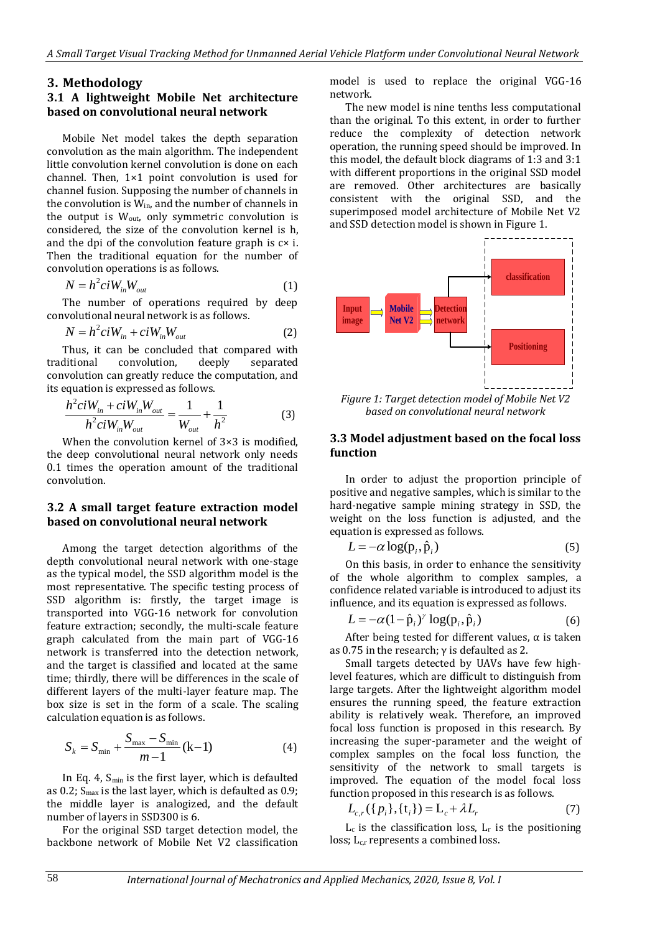## **3. Methodology**

## **3.1 A lightweight Mobile Net architecture based on convolutional neural network**

Mobile Net model takes the depth separation convolution as the main algorithm. The independent little convolution kernel convolution is done on each channel. Then, 1×1 point convolution is used for channel fusion. Supposing the number of channels in the convolution is  $\widetilde{W}_{in}$ , and the number of channels in the output is  $W_{\text{out}}$ , only symmetric convolution is considered, the size of the convolution kernel is h, and the dpi of the convolution feature graph is c× i. Then the traditional equation for the number of convolution operations is as follows.

$$
N = h^2 c i W_{in} W_{out}
$$
 (1)

The number of operations required by deep convolutional neural network is as follows.

$$
N = h^2 c i W_{in} + c i W_{in} W_{out}
$$
 (2)

Thus, it can be concluded that compared with traditional convolution, deeply separated convolution can greatly reduce the computation, and

its equation is expressed as follows.  
\n
$$
\frac{h^2ciW_{in} + ciW_{in}W_{out}}{h^2ciW_{in}W_{out}} = \frac{1}{W_{out}} + \frac{1}{h^2}
$$
\n(3)

When the convolution kernel of  $3\times3$  is modified, the deep convolutional neural network only needs 0.1 times the operation amount of the traditional convolution.

## **3.2 A small target feature extraction model based on convolutional neural network**

Among the target detection algorithms of the depth convolutional neural network with one-stage as the typical model, the SSD algorithm model is the most representative. The specific testing process of SSD algorithm is: firstly, the target image is transported into VGG-16 network for convolution feature extraction; secondly, the multi-scale feature graph calculated from the main part of VGG-16 network is transferred into the detection network, and the target is classified and located at the same time; thirdly, there will be differences in the scale of different layers of the multi-layer feature map. The box size is set in the form of a scale. The scaling calculation equation is as follows.

$$
S_k = S_{\min} + \frac{S_{\max} - S_{\min}}{m - 1} (k - 1)
$$
 (4)

In Eq. 4, Smin is the first layer, which is defaulted as 0.2;  $S<sub>max</sub>$  is the last layer, which is defaulted as 0.9; the middle layer is analogized, and the default number of layers in SSD300 is 6.

For the original SSD target detection model, the backbone network of Mobile Net V2 classification model is used to replace the original VGG-16 network.

The new model is nine tenths less computational than the original. To this extent, in order to further reduce the complexity of detection network operation, the running speed should be improved. In this model, the default block diagrams of 1:3 and 3:1 with different proportions in the original SSD model are removed. Other architectures are basically consistent with the original SSD, and the superimposed model architecture of Mobile Net V2 and SSD detection model is shown in Figure 1.



*Figure 1: Target detection model of Mobile Net V2 based on convolutional neural network*

### **3.3 Model adjustment based on the focal loss function**

In order to adjust the proportion principle of positive and negative samples, which is similar to the hard-negative sample mining strategy in SSD, the weight on the loss function is adjusted, and the equation is expressed as follows.

$$
L = -\alpha \log(\mathbf{p}_i, \hat{\mathbf{p}}_i) \tag{5}
$$

On this basis, in order to enhance the sensitivity of the whole algorithm to complex samples, a confidence related variable is introduced to adjust its

influence, and its equation is expressed as follows.  
\n
$$
L = -\alpha (1 - \hat{p}_i)^{\gamma} \log(p_i, \hat{p}_i)
$$
\n(6)

After being tested for different values,  $\alpha$  is taken as 0.75 in the research; γ is defaulted as 2.

Small targets detected by UAVs have few highlevel features, which are difficult to distinguish from large targets. After the lightweight algorithm model ensures the running speed, the feature extraction ability is relatively weak. Therefore, an improved focal loss function is proposed in this research. By increasing the super-parameter and the weight of complex samples on the focal loss function, the sensitivity of the network to small targets is improved. The equation of the model focal loss

function proposed in this research is as follows.  
\n
$$
L_{c,r}(\lbrace p_i \rbrace, \lbrace t_i \rbrace) = L_c + \lambda L_r
$$
\n(7)

 $L_c$  is the classification loss,  $L_r$  is the positioning loss;  $L_{cr}$  represents a combined loss.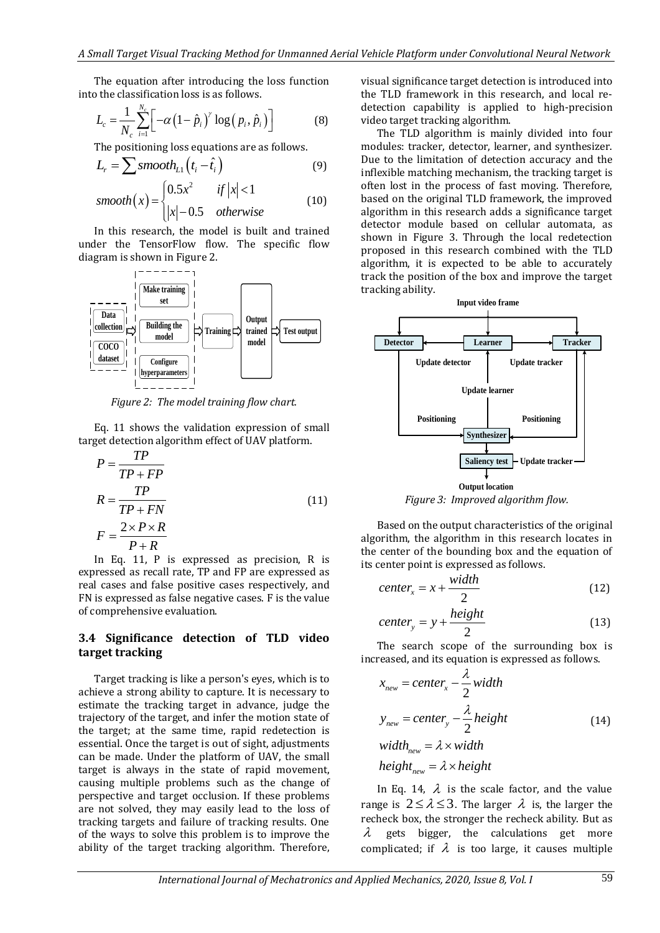The equation after introducing the loss function into the classification loss is as follows.

$$
L_c = \frac{1}{N_c} \sum_{i=1}^{N_c} \left[ -\alpha \left(1 - \hat{p}_i\right)^{\gamma} \log\left(p_i, \hat{p}_i\right) \right]
$$
(8)

The positioning loss equations are as follows.

$$
L_{r} = \sum \text{smooth}_{L1} (t_{i} - \hat{t}_{i})
$$
(9)  

$$
\text{moseth}(x) = \begin{cases} 0.5x^{2} & \text{if } |x| < 1 \\ 0.03x^{2} & \text{if } |x| < 1 \end{cases}
$$
(9)

smooth(x) = 
$$
\begin{cases} 0.5x^2 & \text{if } |x| < 1\\ |x| - 0.5 & \text{otherwise} \end{cases}
$$
 (10)

In this research, the model is built and trained under the TensorFlow flow. The specific flow diagram is shown in Figure 2.



*Figure 2: The model training flow chart.*

Eq. 11 shows the validation expression of small target detection algorithm effect of UAV platform.

$$
P = \frac{TP}{TP + FP}
$$
  
\n
$$
R = \frac{TP}{TP + FN}
$$
  
\n
$$
F = \frac{2 \times P \times R}{P + R}
$$
\n(11)

In Eq. 11, P is expressed as precision, R is expressed as recall rate, TP and FP are expressed as real cases and false positive cases respectively, and FN is expressed as false negative cases. F is the value of comprehensive evaluation.

### **3.4 Significance detection of TLD video target tracking**

Target tracking is like a person's eyes, which is to achieve a strong ability to capture. It is necessary to estimate the tracking target in advance, judge the trajectory of the target, and infer the motion state of the target; at the same time, rapid redetection is essential. Once the target is out of sight, adjustments can be made. Under the platform of UAV, the small target is always in the state of rapid movement, causing multiple problems such as the change of perspective and target occlusion. If these problems are not solved, they may easily lead to the loss of tracking targets and failure of tracking results. One of the ways to solve this problem is to improve the ability of the target tracking algorithm. Therefore,

visual significance target detection is introduced into the TLD framework in this research, and local redetection capability is applied to high-precision video target tracking algorithm.

The TLD algorithm is mainly divided into four modules: tracker, detector, learner, and synthesizer. Due to the limitation of detection accuracy and the inflexible matching mechanism, the tracking target is often lost in the process of fast moving. Therefore, based on the original TLD framework, the improved algorithm in this research adds a significance target detector module based on cellular automata, as shown in Figure 3. Through the local redetection proposed in this research combined with the TLD algorithm, it is expected to be able to accurately track the position of the box and improve the target tracking ability.



*Figure 3: Improved algorithm flow.*

Based on the output characteristics of the original algorithm, the algorithm in this research locates in the center of the bounding box and the equation of its center point is expressed as follows.

$$
center_x = x + \frac{width}{2}
$$
 (12)

$$
center_{y} = y + \frac{height}{2}
$$
 (13)

The search scope of the surrounding box is increased, and its equation is expressed as follows.

$$
x_{new} = center_x - \frac{\lambda}{2} width
$$
  
\n
$$
y_{new} = center_y - \frac{\lambda}{2} height
$$
  
\n
$$
width_{new} = \lambda \times width
$$
\n(14)

$$
w u u n_{new} = \lambda \times w u u
$$
  
height<sub>new</sub> =  $\lambda \times height$ 

In Eq. 14,  $\lambda$  is the scale factor, and the value range is  $2 \le \lambda \le 3$ . The larger  $\lambda$  is, the larger the recheck box, the stronger the recheck ability. But as  $\lambda$ gets bigger, the calculations get more complicated; if  $\lambda$  is too large, it causes multiple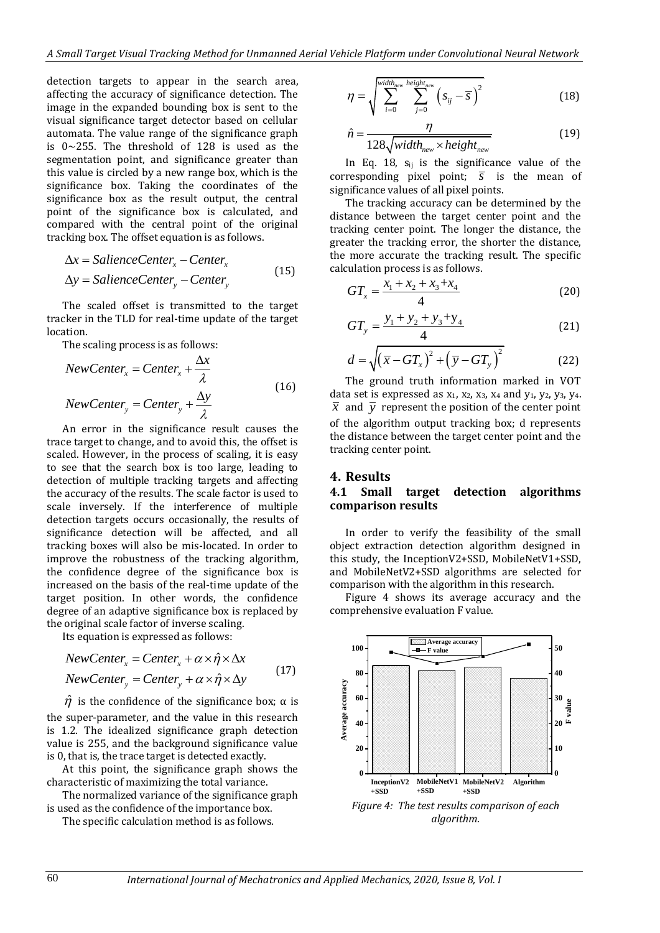detection targets to appear in the search area, affecting the accuracy of significance detection. The image in the expanded bounding box is sent to the visual significance target detector based on cellular automata. The value range of the significance graph is 0~255. The threshold of 128 is used as the segmentation point, and significance greater than this value is circled by a new range box, which is the significance box. Taking the coordinates of the significance box as the result output, the central point of the significance box is calculated, and compared with the central point of the original tracking box. The offset equation is as follows.

$$
\Delta x = SalienceCenter_x - Center_x
$$
  
\n
$$
\Delta y = SalienceCenter_y - Center_y
$$
\n(15)

The scaled offset is transmitted to the target tracker in the TLD for real-time update of the target location.

The scaling process is as follows:

$$
NewCenter_x = Center_x + \frac{\Delta x}{\lambda}
$$
  
\n
$$
NewCenter_y = Center_y + \frac{\Delta y}{\lambda}
$$
 (16)

An error in the significance result causes the trace target to change, and to avoid this, the offset is scaled. However, in the process of scaling, it is easy to see that the search box is too large, leading to detection of multiple tracking targets and affecting the accuracy of the results. The scale factor is used to scale inversely. If the interference of multiple detection targets occurs occasionally, the results of significance detection will be affected, and all tracking boxes will also be mis-located. In order to improve the robustness of the tracking algorithm, the confidence degree of the significance box is increased on the basis of the real-time update of the target position. In other words, the confidence degree of an adaptive significance box is replaced by the original scale factor of inverse scaling.

Its equation is expressed as follows:  
\n
$$
NewCenter_x = Center_x + \alpha \times \hat{\eta} \times \Delta x
$$
\n
$$
NewCenter_y = Center_y + \alpha \times \hat{\eta} \times \Delta y
$$
\n(17)

 $\hat{\eta}$  is the confidence of the significance box;  $\alpha$  is the super-parameter, and the value in this research is 1.2. The idealized significance graph detection value is 255, and the background significance value is 0, that is, the trace target is detected exactly.

At this point, the significance graph shows the characteristic of maximizing the total variance.

The normalized variance of the significance graph is used as the confidence of the importance box.

The specific calculation method is as follows.

$$
\eta = \sqrt{\sum_{i=0}^{\text{width}_{\text{new}} \text{height}_{\text{new}}}{\sum_{j=0}^{\text{level}} \left(s_{ij} - \overline{s}\right)^2}}
$$
(18)

$$
\hat{n} = \frac{\eta}{128\sqrt{\text{width}_{new} \times \text{height}_{new}}}
$$
(19)

In Eq. 18,  $s_{ij}$  is the significance value of the corresponding pixel point;  $\overline{s}$  is the mean of significance values of all pixel points.

The tracking accuracy can be determined by the distance between the target center point and the tracking center point. The longer the distance, the greater the tracking error, the shorter the distance, the more accurate the tracking result. The specific calculation process is as follows.

$$
GT_x = \frac{x_1 + x_2 + x_3 + x_4}{4}
$$
 (20)

$$
GT_{y} = \frac{y_1 + y_2 + y_3 + y_4}{4}
$$
 (21)

$$
d = \sqrt{\left(\overline{x} - GT_x\right)^2 + \left(\overline{y} - GT_y\right)^2} \tag{22}
$$

The ground truth information marked in VOT data set is expressed as  $x_1$ ,  $x_2$ ,  $x_3$ ,  $x_4$  and  $y_1$ ,  $y_2$ ,  $y_3$ ,  $y_4$ .  $\bar{x}$  and  $\bar{y}$  represent the position of the center point of the algorithm output tracking box; d represents the distance between the target center point and the tracking center point.

#### **4. Results**

### **4.1 Small target detection algorithms comparison results**

In order to verify the feasibility of the small object extraction detection algorithm designed in this study, the InceptionV2+SSD, MobileNetV1+SSD, and MobileNetV2+SSD algorithms are selected for comparison with the algorithm in this research.

Figure 4 shows its average accuracy and the comprehensive evaluation F value.



*Figure 4: The test results comparison of each algorithm.*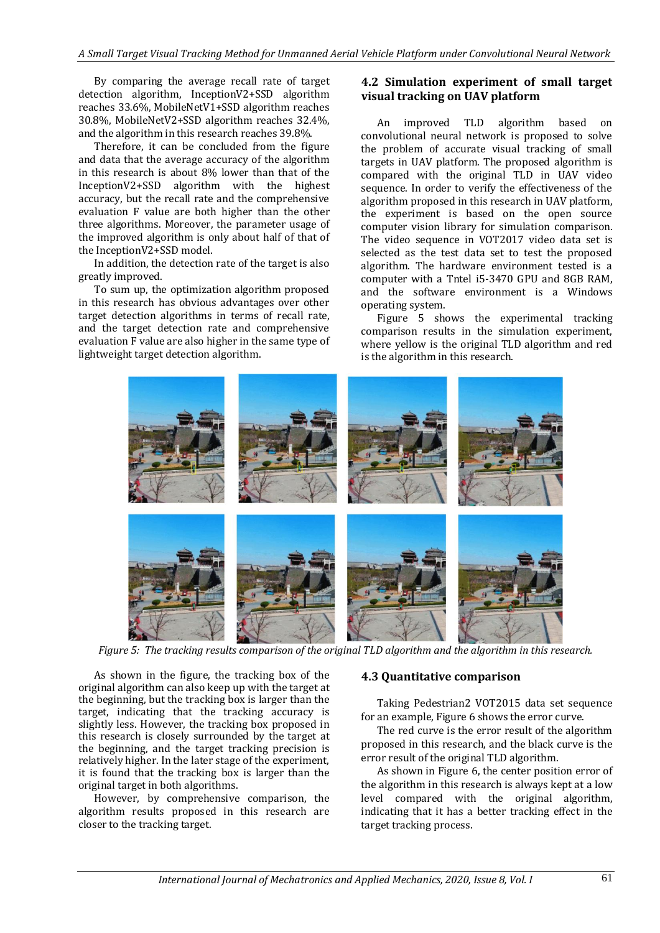By comparing the average recall rate of target detection algorithm, InceptionV2+SSD algorithm reaches 33.6%, MobileNetV1+SSD algorithm reaches 30.8%, MobileNetV2+SSD algorithm reaches 32.4%, and the algorithm in this research reaches 39.8%.

Therefore, it can be concluded from the figure and data that the average accuracy of the algorithm in this research is about 8% lower than that of the InceptionV2+SSD algorithm with the highest accuracy, but the recall rate and the comprehensive evaluation F value are both higher than the other three algorithms. Moreover, the parameter usage of the improved algorithm is only about half of that of the InceptionV2+SSD model.

In addition, the detection rate of the target is also greatly improved.

To sum up, the optimization algorithm proposed in this research has obvious advantages over other target detection algorithms in terms of recall rate, and the target detection rate and comprehensive evaluation F value are also higher in the same type of lightweight target detection algorithm.

## **4.2 Simulation experiment of small target visual tracking on UAV platform**

An improved TLD algorithm based on convolutional neural network is proposed to solve the problem of accurate visual tracking of small targets in UAV platform. The proposed algorithm is compared with the original TLD in UAV video sequence. In order to verify the effectiveness of the algorithm proposed in this research in UAV platform, the experiment is based on the open source computer vision library for simulation comparison. The video sequence in VOT2017 video data set is selected as the test data set to test the proposed algorithm. The hardware environment tested is a computer with a Tntel i5-3470 GPU and 8GB RAM, and the software environment is a Windows operating system.

Figure 5 shows the experimental tracking comparison results in the simulation experiment, where yellow is the original TLD algorithm and red is the algorithm in this research.



*Figure 5: The tracking results comparison of the original TLD algorithm and the algorithm in this research.*

As shown in the figure, the tracking box of the original algorithm can also keep up with the target at the beginning, but the tracking box is larger than the target, indicating that the tracking accuracy is slightly less. However, the tracking box proposed in this research is closely surrounded by the target at the beginning, and the target tracking precision is relatively higher. In the later stage of the experiment, it is found that the tracking box is larger than the original target in both algorithms.

However, by comprehensive comparison, the algorithm results proposed in this research are closer to the tracking target.

## **4.3 Quantitative comparison**

Taking Pedestrian2 VOT2015 data set sequence for an example, Figure 6 shows the error curve.

The red curve is the error result of the algorithm proposed in this research, and the black curve is the error result of the original TLD algorithm.

As shown in Figure 6, the center position error of the algorithm in this research is always kept at a low level compared with the original algorithm, indicating that it has a better tracking effect in the target tracking process.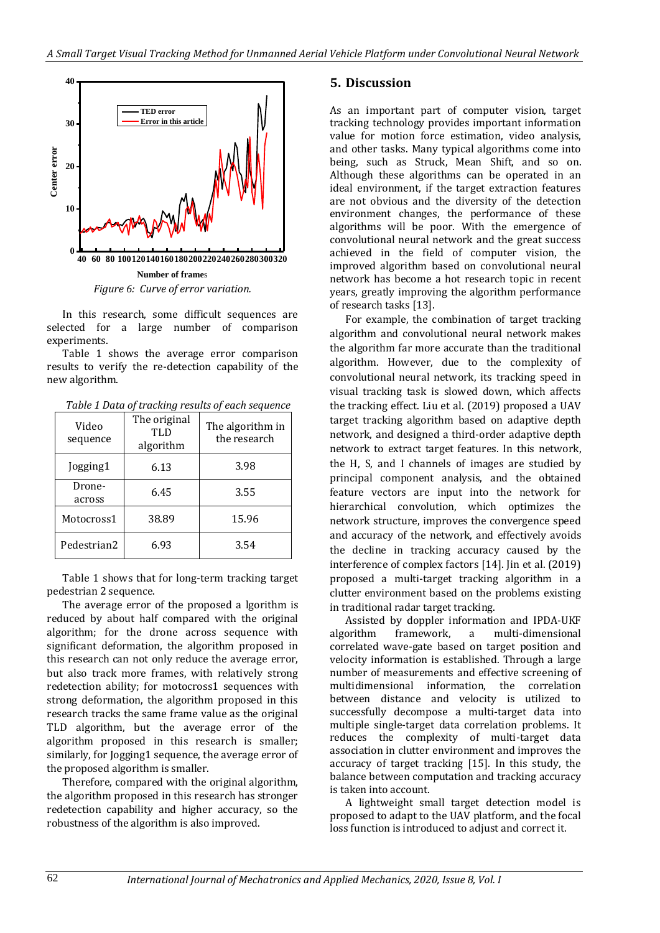

In this research, some difficult sequences are selected for a large number of comparison experiments.

Table 1 shows the average error comparison results to verify the re-detection capability of the new algorithm.

| Video<br>sequence | The original<br>TLD<br>algorithm | The algorithm in<br>the research |
|-------------------|----------------------------------|----------------------------------|
| Jogging1          | ና 13                             | 3 Q.R                            |

6.45 3.55

Droneacross

*Table 1 Data of tracking results of each sequence*

Table 1 shows that for long-term tracking target pedestrian 2 sequence.

Motocross1 38.89 15.96

Pedestrian2 6.93 and 3.54

The average error of the proposed a lgorithm is reduced by about half compared with the original algorithm; for the drone across sequence with significant deformation, the algorithm proposed in this research can not only reduce the average error, but also track more frames, with relatively strong redetection ability; for motocross1 sequences with strong deformation, the algorithm proposed in this research tracks the same frame value as the original TLD algorithm, but the average error of the algorithm proposed in this research is smaller; similarly, for Jogging1 sequence, the average error of the proposed algorithm is smaller.

Therefore, compared with the original algorithm, the algorithm proposed in this research has stronger redetection capability and higher accuracy, so the robustness of the algorithm is also improved.

## **5. Discussion**

As an important part of computer vision, target tracking technology provides important information value for motion force estimation, video analysis, and other tasks. Many typical algorithms come into being, such as Struck, Mean Shift, and so on. Although these algorithms can be operated in an ideal environment, if the target extraction features are not obvious and the diversity of the detection environment changes, the performance of these algorithms will be poor. With the emergence of convolutional neural network and the great success achieved in the field of computer vision, the improved algorithm based on convolutional neural network has become a hot research topic in recent years, greatly improving the algorithm performance of research tasks [13].

For example, the combination of target tracking algorithm and convolutional neural network makes the algorithm far more accurate than the traditional algorithm. However, due to the complexity of convolutional neural network, its tracking speed in visual tracking task is slowed down, which affects the tracking effect. Liu et al. (2019) proposed a UAV target tracking algorithm based on adaptive depth network, and designed a third-order adaptive depth network to extract target features. In this network, the H, S, and I channels of images are studied by principal component analysis, and the obtained feature vectors are input into the network for hierarchical convolution, which optimizes the network structure, improves the convergence speed and accuracy of the network, and effectively avoids the decline in tracking accuracy caused by the interference of complex factors [14]. Jin et al. (2019) proposed a multi-target tracking algorithm in a clutter environment based on the problems existing in traditional radar target tracking.

Assisted by doppler information and IPDA-UKF algorithm framework, a multi-dimensional correlated wave-gate based on target position and velocity information is established. Through a large number of measurements and effective screening of multidimensional information, the correlation between distance and velocity is utilized to successfully decompose a multi-target data into multiple single-target data correlation problems. It reduces the complexity of multi-target data association in clutter environment and improves the accuracy of target tracking [15]. In this study, the balance between computation and tracking accuracy is taken into account.

A lightweight small target detection model is proposed to adapt to the UAV platform, and the focal loss function is introduced to adjust and correct it.